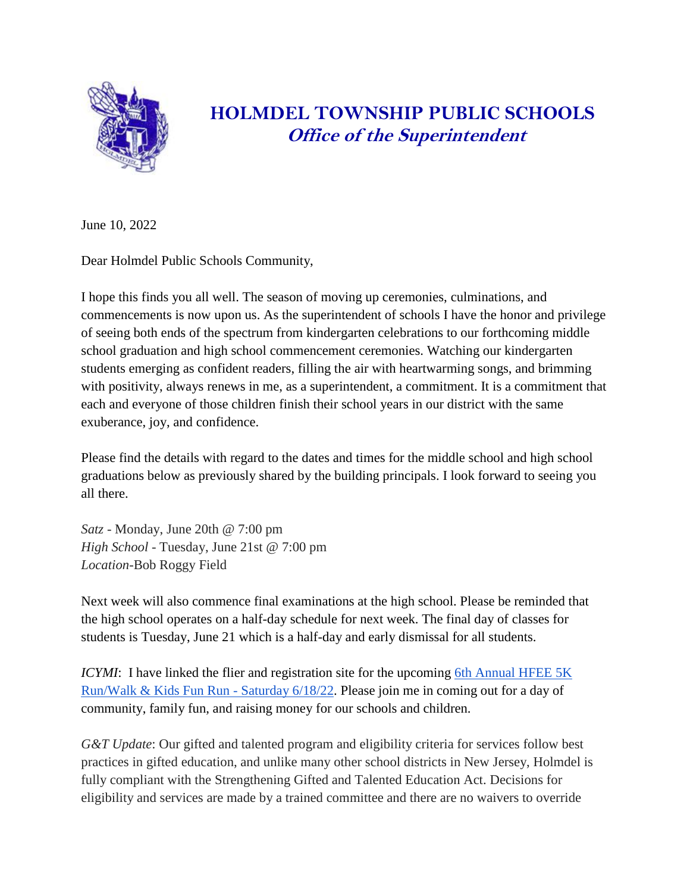

## **HOLMDEL TOWNSHIP PUBLIC SCHOOLS Office of the Superintendent**

June 10, 2022

Dear Holmdel Public Schools Community,

I hope this finds you all well. The season of moving up ceremonies, culminations, and commencements is now upon us. As the superintendent of schools I have the honor and privilege of seeing both ends of the spectrum from kindergarten celebrations to our forthcoming middle school graduation and high school commencement ceremonies. Watching our kindergarten students emerging as confident readers, filling the air with heartwarming songs, and brimming with positivity, always renews in me, as a superintendent, a commitment. It is a commitment that each and everyone of those children finish their school years in our district with the same exuberance, joy, and confidence.

Please find the details with regard to the dates and times for the middle school and high school graduations below as previously shared by the building principals. I look forward to seeing you all there.

*Satz* - Monday, June 20th @ 7:00 pm *High School* - Tuesday, June 21st @ 7:00 pm *Location*-Bob Roggy Field

Next week will also commence final examinations at the high school. Please be reminded that the high school operates on a half-day schedule for next week. The final day of classes for students is Tuesday, June 21 which is a half-day and early dismissal for all students.

*ICYMI*: I have linked the flier and registration site for the upcoming 6th Annual HFEE 5K [Run/Walk & Kids Fun Run -](https://drive.google.com/file/d/1l0wNdEbdEtv6-L3XPmUATbIpidLz3Q-m/view?usp=sharing) Saturday 6/18/22. Please join me in coming out for a day of community, family fun, and raising money for our schools and children.

*G&T Update*: Our gifted and talented program and eligibility criteria for services follow best practices in gifted education, and unlike many other school districts in New Jersey, Holmdel is fully compliant with the Strengthening Gifted and Talented Education Act. Decisions for eligibility and services are made by a trained committee and there are no waivers to override